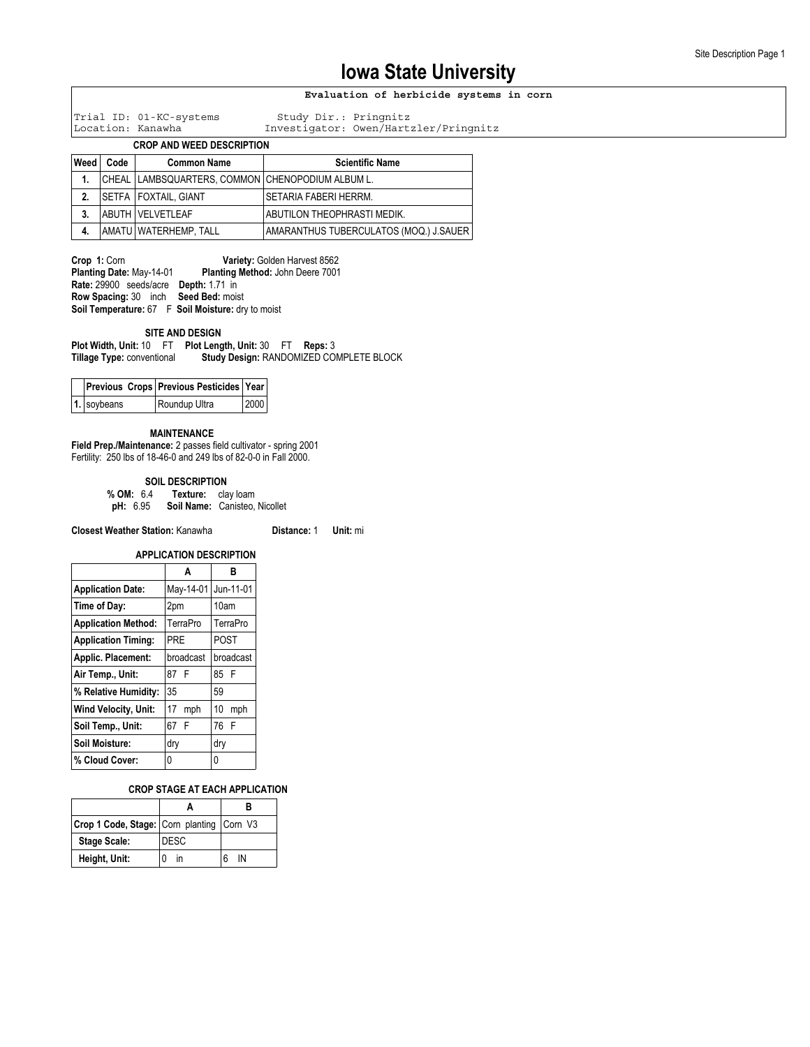### **Evaluation of herbicide systems in corn**

Trial ID: 01-KC-systems Study Dir.: Pringnitz

Investigator: Owen/Hartzler/Pringnitz

### **CROP AND WEED DESCRIPTION**

| Weed | Code | <b>Common Name</b>                                   | <b>Scientific Name</b>                 |
|------|------|------------------------------------------------------|----------------------------------------|
| 1.   |      | CHEAL   LAMBSQUARTERS, COMMON   CHENOPODIUM ALBUM L. |                                        |
| 2.   |      | SETFA   FOXTAIL, GIANT                               | SETARIA FABERI HERRM.                  |
| 3.   |      | <b>ABUTH VELVETLEAF</b>                              | ABUTILON THEOPHRASTI MEDIK.            |
| 4.   |      | AMATU   WATERHEMP, TALL                              | AMARANTHUS TUBERCULATOS (MOQ.) J.SAUER |

**Crop 1: Corn <b>Variety:** Golden Harvest 8562<br>**Planting Date:** May-14-01 **Planting Method:** John Deere 7001 **Planting Method: John Deere 7001 Rate:** 29900 seeds/acre **Depth:** 1.71 in **Row Spacing:** 30 inch **Seed Bed:** moist **Soil Temperature:** 67 F **Soil Moisture:** dry to moist

### **SITE AND DESIGN**

**Plot Width, Unit:** 10 FT **Plot Length, Unit:** 30 FT **Reps:** 3 **Study Design: RANDOMIZED COMPLETE BLOCK** 

|                 | Previous Crops Previous Pesticides Year |      |
|-----------------|-----------------------------------------|------|
| $ 1. $ soybeans | Roundup Ultra                           | 2000 |

#### **MAINTENANCE**

**Field Prep./Maintenance:** 2 passes field cultivator - spring 2001 Fertility: 250 lbs of 18-46-0 and 249 lbs of 82-0-0 in Fall 2000.

**SOIL DESCRIPTION**<br>**% OM:** 6.4 **Texture:** cla **Texture: clay loam** 

**pH:** 6.95 **Soil Name:** Canisteo, Nicollet

**Closest Weather Station:** Kanawha **Distance:** 1 **Unit:** mi

|                            | <b>APPLICATION DESCRIPTION</b> |           |  |  |  |  |
|----------------------------|--------------------------------|-----------|--|--|--|--|
|                            | A                              | R         |  |  |  |  |
| <b>Application Date:</b>   | May-14-01                      | Jun-11-01 |  |  |  |  |
| Time of Day:               | 2pm                            | 10am      |  |  |  |  |
| <b>Application Method:</b> | TerraPro                       | TerraPro  |  |  |  |  |
| <b>Application Timing:</b> | PRE                            | POST      |  |  |  |  |
| Applic. Placement:         | broadcast                      | broadcast |  |  |  |  |
| Air Temp., Unit:           | 87 F                           | 85 F      |  |  |  |  |
| % Relative Humidity:       | 35                             | 59        |  |  |  |  |
| Wind Velocity, Unit:       | 17<br>mph                      | 10<br>mph |  |  |  |  |
| Soil Temp., Unit:          | 67 F                           | 76 F      |  |  |  |  |
| Soil Moisture:             | dry                            | dry       |  |  |  |  |
| % Cloud Cover:             | 0                              | 0         |  |  |  |  |

#### **CROP STAGE AT EACH APPLICATION**

| Crop 1 Code, Stage: Corn planting Corn V3 |             |    |
|-------------------------------------------|-------------|----|
| <b>Stage Scale:</b>                       | <b>DESC</b> |    |
| Height, Unit:                             | ın          | IN |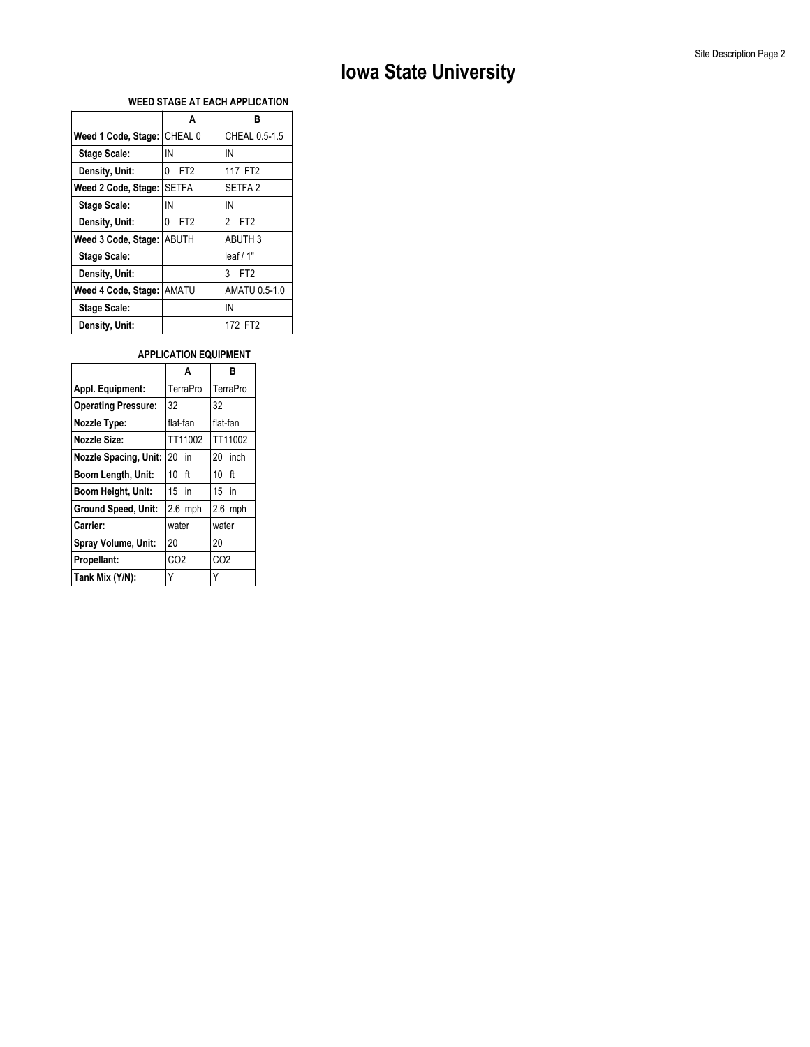### **WEED STAGE AT EACH APPLICATION**

|                             | A                    | R                               |
|-----------------------------|----------------------|---------------------------------|
| Weed 1 Code, Stage: CHEAL 0 |                      | CHEAL 0.5-1.5                   |
| <b>Stage Scale:</b>         | IN                   | IN                              |
| Density, Unit:              | FT <sub>2</sub><br>0 | 117 FT2                         |
| Weed 2 Code, Stage:         | <b>SETFA</b>         | SETFA <sub>2</sub>              |
| <b>Stage Scale:</b>         | IN                   | IN                              |
| Density, Unit:              | FT <sub>2</sub><br>0 | $\mathbf{2}$<br>FT <sub>2</sub> |
| Weed 3 Code, Stage:         | <b>ABUTH</b>         | <b>ABUTH 3</b>                  |
| <b>Stage Scale:</b>         |                      | leaf/1"                         |
| Density, Unit:              |                      | 3<br>FT <sub>2</sub>            |
| Weed 4 Code, Stage: AMATU   |                      | AMATU 0.5-1.0                   |
| <b>Stage Scale:</b>         |                      | IN                              |
| Density, Unit:              |                      | 172 FT2                         |

### **APPLICATION EQUIPMENT**

|                              | A               | в               |
|------------------------------|-----------------|-----------------|
| Appl. Equipment:             | TerraPro        | TerraPro        |
| <b>Operating Pressure:</b>   | 32              | 32              |
| Nozzle Type:                 | flat-fan        | flat-fan        |
| <b>Nozzle Size:</b>          | TT11002         | TT11002         |
| <b>Nozzle Spacing, Unit:</b> | $20$ in         | 20 inch         |
| Boom Length, Unit:           | $10 \text{ ft}$ | 10 ft           |
| Boom Height, Unit:           | $15$ in         | $15$ in         |
| <b>Ground Speed, Unit:</b>   | $2.6$ mph       | $2.6$ mph       |
| Carrier:                     | water           | water           |
| Spray Volume, Unit:          | 20              | 20              |
| Propellant:                  | CO <sub>2</sub> | CO <sub>2</sub> |
| Tank Mix (Y/N):              |                 | Y               |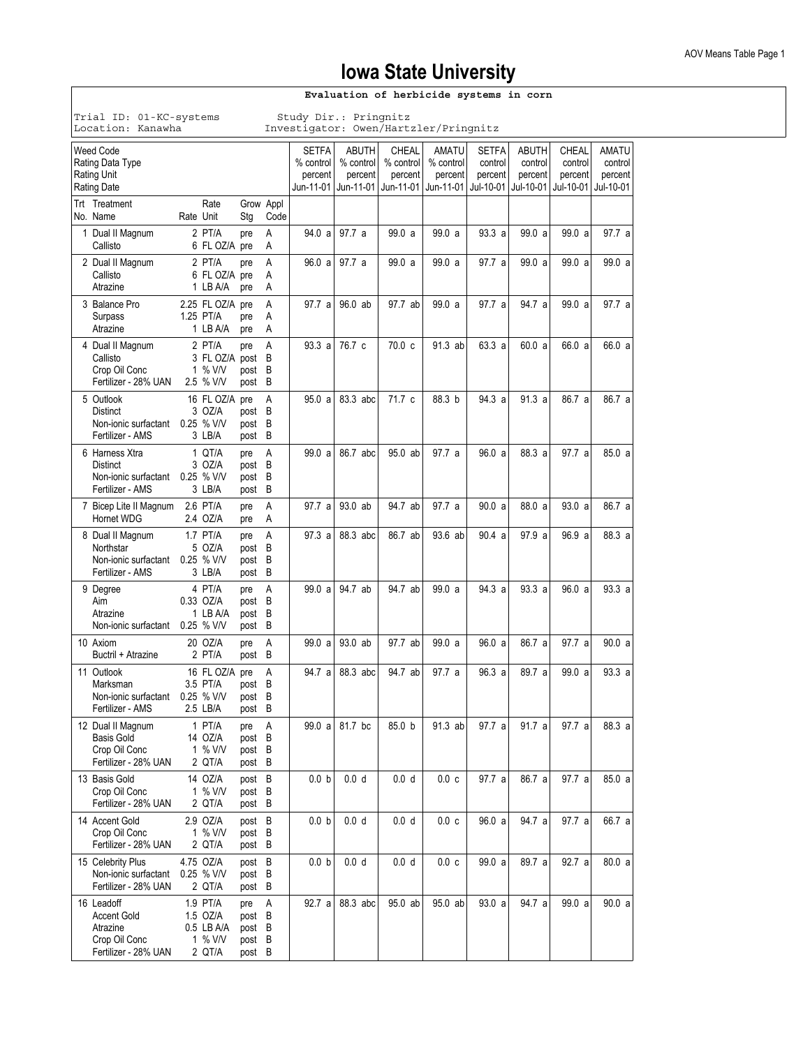| Evaluation of herbicide systems in corn                                                                        |           |                                                         |                                             |                   |                                                               |           |                  |                                            |                                            |                                                 |                                          |                                                 |                                          |
|----------------------------------------------------------------------------------------------------------------|-----------|---------------------------------------------------------|---------------------------------------------|-------------------|---------------------------------------------------------------|-----------|------------------|--------------------------------------------|--------------------------------------------|-------------------------------------------------|------------------------------------------|-------------------------------------------------|------------------------------------------|
| Study Dir.: Pringnitz<br>Trial ID: 01-KC-systems<br>Location: Kanawha<br>Investigator: Owen/Hartzler/Pringnitz |           |                                                         |                                             |                   |                                                               |           |                  |                                            |                                            |                                                 |                                          |                                                 |                                          |
| Weed Code<br>Rating Data Type<br>Rating Unit<br><b>Rating Date</b>                                             |           |                                                         |                                             |                   | <b>SETFA</b><br>% control<br>percent<br>Jun-11-01   Jun-11-01 | % control | ABUTH<br>percent | CHEAL<br>% control<br>percent<br>Jun-11-01 | AMATU<br>% control<br>percent<br>Jun-11-01 | <b>SETFA</b><br>control<br>percent<br>Jul-10-01 | ABUTH<br>control<br>percent<br>Jul-10-01 | <b>CHEAL</b><br>control<br>percent<br>Jul-10-01 | AMATU<br>control<br>percent<br>Jul-10-01 |
| Trt Treatment<br>No. Name                                                                                      | Rate Unit | Rate                                                    | Stg                                         | Grow Appl<br>Code |                                                               |           |                  |                                            |                                            |                                                 |                                          |                                                 |                                          |
| 1 Dual II Magnum<br>Callisto                                                                                   |           | 2 PT/A<br>6 FL OZ/A pre                                 | pre                                         | A<br>Α            | 94.0 a                                                        | 97.7a     |                  | 99.0a                                      | 99.0 a                                     | 93.3a                                           | 99.0 a                                   | 99.0 a                                          | 97.7 a                                   |
| 2 Dual II Magnum<br>Callisto<br>Atrazine                                                                       |           | 2 PT/A<br>6 FL OZ/A pre<br>1 LB A/A                     | pre<br>pre                                  | A<br>A<br>Α       | 96.0 a                                                        | 97.7a     |                  | 99.0 a                                     | 99.0a                                      | 97.7 a                                          | 99.0 a                                   | 99.0 a                                          | 99.0 a                                   |
| 3 Balance Pro<br>Surpass<br>Atrazine                                                                           |           | 2.25 FL OZ/A pre<br>1.25 PT/A<br>1 LB A/A               | pre<br>pre                                  | A<br>A<br>A       | 97.7 al                                                       | 96.0 ab   |                  | 97.7 ab                                    | 99.0 a                                     | 97.7 a                                          | 94.7 a                                   | 99.0 a                                          | 97.7 a                                   |
| 4 Dual II Magnum<br>Callisto<br>Crop Oil Conc<br>Fertilizer - 28% UAN                                          |           | 2 PT/A<br>3 FL OZ/A post<br>1 % V/V<br>2.5 % V/V        | pre<br>post<br>post B                       | A<br>B<br>B       | 93.3a                                                         | 76.7 c    |                  | 70.0 <sub>c</sub>                          | 91.3 ab                                    | 63.3a                                           | 60.0 a                                   | 66.0 a                                          | 66.0 a                                   |
| 5 Outlook<br>Distinct<br>Non-ionic surfactant<br>Fertilizer - AMS                                              |           | 16 FL OZ/A<br>3 OZ/A<br>0.25 % V/V<br>3 LB/A            | pre<br>post B<br>post B<br>post B           | A                 | 95.0 a                                                        | 83.3 abc  |                  | 71.7 c                                     | 88.3 b                                     | 94.3a                                           | 91.3a                                    | 86.7 a                                          | 86.7 a                                   |
| 6 Harness Xtra<br><b>Distinct</b><br>Non-ionic surfactant<br>Fertilizer - AMS                                  |           | 1 QT/A<br>3 OZ/A<br>$0.25$ % V/V<br>3 LB/A              | pre<br>post B<br>post B<br>post B           | Α                 | 99.0 a                                                        | 86.7 abc  |                  | 95.0 ab                                    | 97.7 a                                     | 96.0 a                                          | 88.3 a                                   | 97.7 a                                          | 85.0a                                    |
| 7 Bicep Lite II Magnum<br>Hornet WDG                                                                           |           | $2.6$ PT/A<br>2.4 OZ/A                                  | pre<br>pre                                  | Α<br>Α            | 97.7 a                                                        | 93.0 ab   |                  | 94.7 ab                                    | 97.7 a                                     | 90.0 a                                          | 88.0 a                                   | 93.0 a                                          | 86.7 a                                   |
| 8 Dual II Magnum<br>Northstar<br>Non-ionic surfactant<br>Fertilizer - AMS                                      |           | 1.7 PT/A<br>5 OZ/A<br>$0.25$ % V/V<br>3 LB/A            | pre<br>post B<br>post<br>post B             | A<br>B            | 97.3 a                                                        | 88.3 abc  |                  | 86.7 ab                                    | 93.6 ab                                    | 90.4 a                                          | 97.9a                                    | 96.9a                                           | 88.3 a                                   |
| 9 Degree<br>Aim<br>Atrazine<br>Non-ionic surfactant                                                            |           | 4 PT/A<br>0.33 OZ/A<br>1 LB A/A<br>$0.25$ % V/V         | pre<br>post<br>post B<br>post B             | A<br>B            | 99.0 a                                                        | 94.7 ab   |                  | 94.7 ab                                    | 99.0a                                      | 94.3a                                           | 93.3a                                    | 96.0a                                           | 93.3a                                    |
| 10 Axiom<br>Buctril + Atrazine                                                                                 |           | 20 OZ/A<br>2 PT/A                                       | pre<br>post B                               | Α                 | 99.0 a                                                        | 93.0 ab   |                  | 97.7 ab                                    | 99.0 a                                     | 96.0 a                                          | 86.7 a                                   | 97.7 a                                          | 90.0 a                                   |
| 11 Outlook<br>Marksman<br>Non-ionic surfactant<br>Fertilizer - AMS                                             |           | 16 FL OZ/A pre<br>3.5 PT/A<br>0.25 % V/V<br>2.5 LB/A    | post B<br>post B<br>post B                  | A                 | 94.7 al                                                       | 88.3 abc  |                  | 94.7 ab                                    | 97.7 a                                     | 96.3 a                                          | 89.7 a                                   | 99.0 a                                          | 93.3 a                                   |
| 12 Dual II Magnum<br><b>Basis Gold</b><br>Crop Oil Conc<br>Fertilizer - 28% UAN                                |           | 1 PT/A<br>14 OZ/A<br>1 % V/V<br>2 QT/A                  | pre<br>post B<br>post B<br>post B           | Α                 | 99.0 a                                                        | 81.7 bc   |                  | 85.0 b                                     | 91.3 ab                                    | 97.7 a                                          | 91.7a                                    | 97.7 a                                          | 88.3 a                                   |
| 13 Basis Gold<br>Crop Oil Conc<br>Fertilizer - 28% UAN                                                         |           | 14 OZ/A<br>1 % V/V<br>2 QT/A                            | post B<br>post B<br>post B                  |                   | 0.0 <sub>b</sub>                                              | 0.0 d     |                  | 0.0 <sub>d</sub>                           | 0.0c                                       | 97.7 a                                          | 86.7 a                                   | 97.7 a                                          | 85.0 a                                   |
| 14 Accent Gold<br>Crop Oil Conc<br>Fertilizer - 28% UAN                                                        |           | 2.9 OZ/A<br>1 % V/V<br>2 QT/A                           | post B<br>post B<br>post B                  |                   | 0.0 <sub>b</sub>                                              | 0.0 d     |                  | 0.0 <sub>d</sub>                           | 0.0c                                       | 96.0 a                                          | 94.7 a                                   | 97.7 a                                          | 66.7 a                                   |
| 15 Celebrity Plus<br>Non-ionic surfactant<br>Fertilizer - 28% UAN                                              |           | 4.75 OZ/A<br>0.25 % V/V<br>2 QT/A                       | post B<br>post B<br>post B                  |                   | 0.0 <sub>b</sub>                                              | 0.0 d     |                  | 0.0 <sub>d</sub>                           | 0.0c                                       | 99.0 a                                          | 89.7 a                                   | 92.7 a                                          | 80.0 a                                   |
| 16 Leadoff<br><b>Accent Gold</b><br>Atrazine<br>Crop Oil Conc<br>Fertilizer - 28% UAN                          |           | 1.9 PT/A<br>1.5 OZ/A<br>0.5 LB A/A<br>1 % V/V<br>2 QT/A | pre<br>post B<br>post B<br>post B<br>post B | Α                 | 92.7 a                                                        | 88.3 abc  |                  | 95.0 ab                                    | 95.0 ab                                    | 93.0 a                                          | 94.7 a                                   | 99.0 a                                          | 90.0 a                                   |